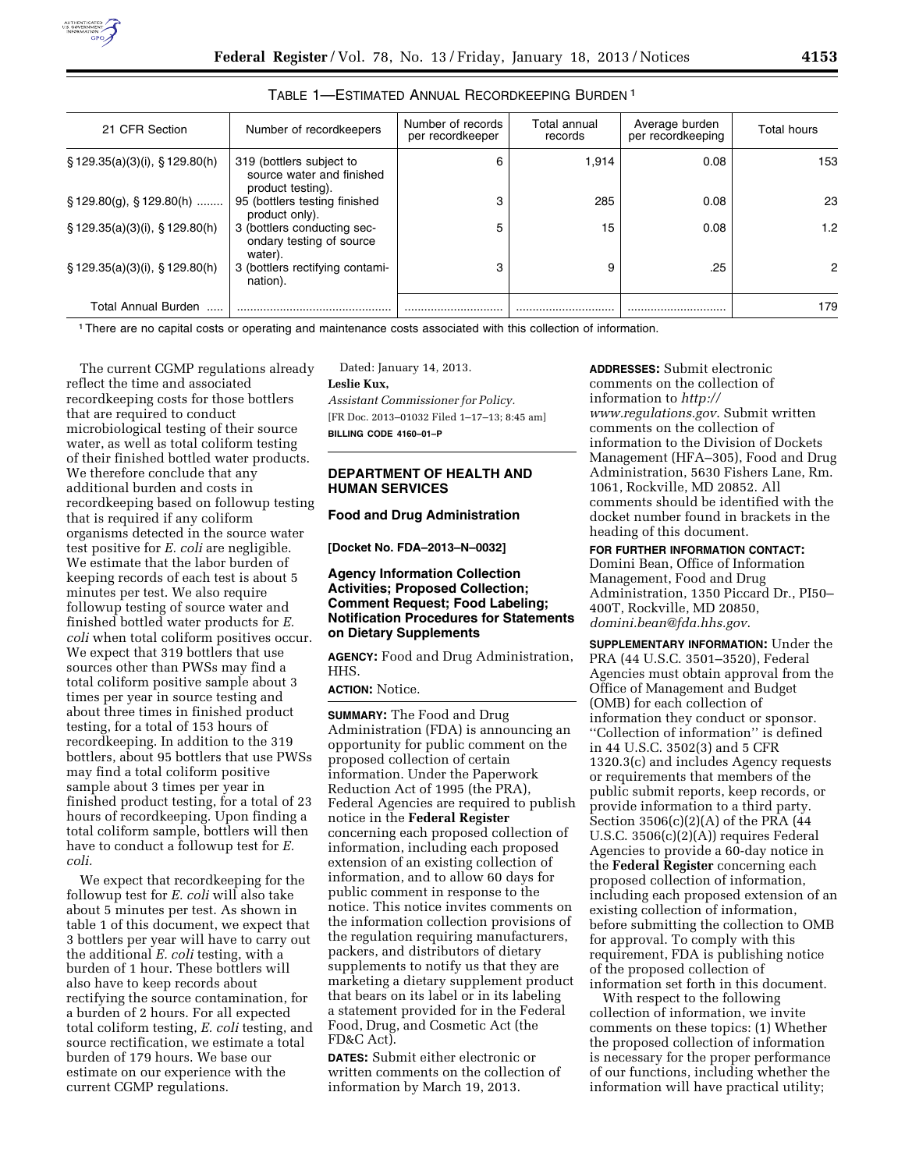

| 21 CFR Section                       | Number of recordkeepers                                                    | Number of records<br>per recordkeeper | Total annual<br>records | Average burden<br>per recordkeeping | Total hours |
|--------------------------------------|----------------------------------------------------------------------------|---------------------------------------|-------------------------|-------------------------------------|-------------|
| $\S$ 129.35(a)(3)(i), $\S$ 129.80(h) | 319 (bottlers subject to<br>source water and finished<br>product testing). | 6                                     | 1.914                   | 0.08                                | 153         |
| $\S$ 129.80(g), $\S$ 129.80(h)       | 95 (bottlers testing finished<br>product only).                            | 3                                     | 285                     | 0.08                                | 23          |
| $\S$ 129.35(a)(3)(i), $\S$ 129.80(h) | 3 (bottlers conducting sec-<br>ondary testing of source<br>water).         |                                       | 15                      | 0.08                                | 1.2         |
| $\S$ 129.35(a)(3)(i), $\S$ 129.80(h) | 3 (bottlers rectifying contami-<br>nation).                                |                                       | 9                       | .25                                 | 2           |
| <b>Total Annual Burden</b>           |                                                                            |                                       |                         |                                     | 179         |

## TABLE 1—ESTIMATED ANNUAL RECORDKEEPING BURDEN 1

1There are no capital costs or operating and maintenance costs associated with this collection of information.

The current CGMP regulations already reflect the time and associated recordkeeping costs for those bottlers that are required to conduct microbiological testing of their source water, as well as total coliform testing of their finished bottled water products. We therefore conclude that any additional burden and costs in recordkeeping based on followup testing that is required if any coliform organisms detected in the source water test positive for *E. coli* are negligible. We estimate that the labor burden of keeping records of each test is about 5 minutes per test. We also require followup testing of source water and finished bottled water products for *E. coli* when total coliform positives occur. We expect that 319 bottlers that use sources other than PWSs may find a total coliform positive sample about 3 times per year in source testing and about three times in finished product testing, for a total of 153 hours of recordkeeping. In addition to the 319 bottlers, about 95 bottlers that use PWSs may find a total coliform positive sample about 3 times per year in finished product testing, for a total of 23 hours of recordkeeping. Upon finding a total coliform sample, bottlers will then have to conduct a followup test for *E. coli.* 

We expect that recordkeeping for the followup test for *E. coli* will also take about 5 minutes per test. As shown in table 1 of this document, we expect that 3 bottlers per year will have to carry out the additional *E. coli* testing, with a burden of 1 hour. These bottlers will also have to keep records about rectifying the source contamination, for a burden of 2 hours. For all expected total coliform testing, *E. coli* testing, and source rectification, we estimate a total burden of 179 hours. We base our estimate on our experience with the current CGMP regulations.

Dated: January 14, 2013. **Leslie Kux,**  *Assistant Commissioner for Policy.*  [FR Doc. 2013–01032 Filed 1–17–13; 8:45 am] **BILLING CODE 4160–01–P** 

# **DEPARTMENT OF HEALTH AND HUMAN SERVICES**

### **Food and Drug Administration**

**[Docket No. FDA–2013–N–0032]** 

### **Agency Information Collection Activities; Proposed Collection; Comment Request; Food Labeling; Notification Procedures for Statements on Dietary Supplements**

**AGENCY:** Food and Drug Administration, HHS.

**ACTION:** Notice.

**SUMMARY:** The Food and Drug Administration (FDA) is announcing an opportunity for public comment on the proposed collection of certain information. Under the Paperwork Reduction Act of 1995 (the PRA), Federal Agencies are required to publish notice in the **Federal Register**  concerning each proposed collection of information, including each proposed extension of an existing collection of information, and to allow 60 days for public comment in response to the notice. This notice invites comments on the information collection provisions of the regulation requiring manufacturers, packers, and distributors of dietary supplements to notify us that they are marketing a dietary supplement product that bears on its label or in its labeling a statement provided for in the Federal Food, Drug, and Cosmetic Act (the FD&C Act).

**DATES:** Submit either electronic or written comments on the collection of information by March 19, 2013.

**ADDRESSES:** Submit electronic comments on the collection of information to *[http://](http://www.regulations.gov) [www.regulations.gov](http://www.regulations.gov)*. Submit written comments on the collection of information to the Division of Dockets Management (HFA–305), Food and Drug Administration, 5630 Fishers Lane, Rm. 1061, Rockville, MD 20852. All comments should be identified with the docket number found in brackets in the heading of this document.

### **FOR FURTHER INFORMATION CONTACT:**

Domini Bean, Office of Information Management, Food and Drug Administration, 1350 Piccard Dr., PI50– 400T, Rockville, MD 20850, *[domini.bean@fda.hhs.gov](mailto:domini.bean@fda.hhs.gov)*.

**SUPPLEMENTARY INFORMATION:** Under the PRA (44 U.S.C. 3501–3520), Federal Agencies must obtain approval from the Office of Management and Budget (OMB) for each collection of information they conduct or sponsor. ''Collection of information'' is defined in 44 U.S.C. 3502(3) and 5 CFR 1320.3(c) and includes Agency requests or requirements that members of the public submit reports, keep records, or provide information to a third party. Section 3506(c)(2)(A) of the PRA (44 U.S.C. 3506(c)(2)(A)) requires Federal Agencies to provide a 60-day notice in the **Federal Register** concerning each proposed collection of information, including each proposed extension of an existing collection of information, before submitting the collection to OMB for approval. To comply with this requirement, FDA is publishing notice of the proposed collection of information set forth in this document.

With respect to the following collection of information, we invite comments on these topics: (1) Whether the proposed collection of information is necessary for the proper performance of our functions, including whether the information will have practical utility;